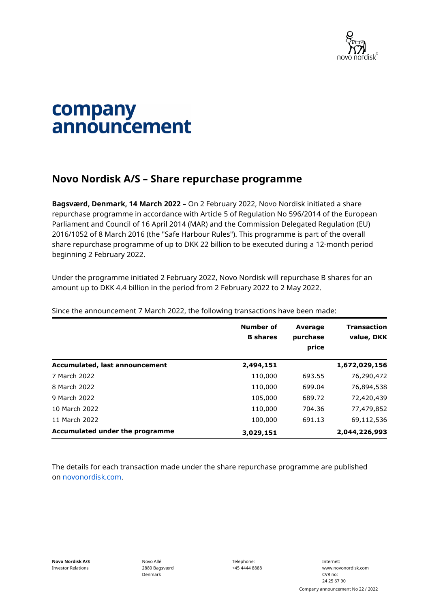

## company announcement

## **Novo Nordisk A/S – Share repurchase programme**

**Bagsværd, Denmark, 14 March 2022** – On 2 February 2022, Novo Nordisk initiated a share repurchase programme in accordance with Article 5 of Regulation No 596/2014 of the European Parliament and Council of 16 April 2014 (MAR) and the Commission Delegated Regulation (EU) 2016/1052 of 8 March 2016 (the "Safe Harbour Rules"). This programme is part of the overall share repurchase programme of up to DKK 22 billion to be executed during a 12-month period beginning 2 February 2022.

Under the programme initiated 2 February 2022, Novo Nordisk will repurchase B shares for an amount up to DKK 4.4 billion in the period from 2 February 2022 to 2 May 2022.

|                                 | Number of<br><b>B</b> shares | <b>Average</b><br>purchase<br>price | <b>Transaction</b><br>value, DKK |
|---------------------------------|------------------------------|-------------------------------------|----------------------------------|
| Accumulated, last announcement  | 2,494,151                    |                                     | 1,672,029,156                    |
| 7 March 2022                    | 110,000                      | 693.55                              | 76,290,472                       |
| 8 March 2022                    | 110,000                      | 699.04                              | 76,894,538                       |
| 9 March 2022                    | 105,000                      | 689.72                              | 72,420,439                       |
| 10 March 2022                   | 110,000                      | 704.36                              | 77,479,852                       |
| 11 March 2022                   | 100,000                      | 691.13                              | 69,112,536                       |
| Accumulated under the programme | 3,029,151                    |                                     | 2,044,226,993                    |

Since the announcement 7 March 2022, the following transactions have been made:

The details for each transaction made under the share repurchase programme are published on [novonordisk.com.](https://www.novonordisk.com/news-and-media/news-and-ir-materials.html)